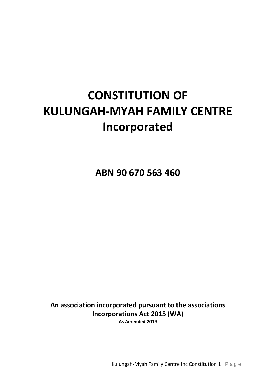# **CONSTITUTION OF KULUNGAH-MYAH FAMILY CENTRE Incorporated**

**ABN 90 670 563 460**

**An association incorporated pursuant to the associations Incorporations Act 2015 (WA) As Amended 2019**

Kulungah-Myah Family Centre Inc Constitution 1 | P a g e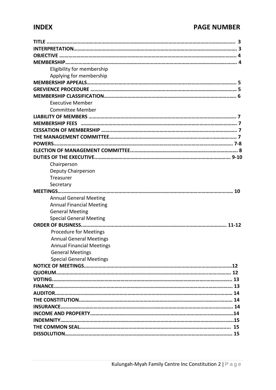# **INDEX PAGE NUMBER**

| Eligibility for membership       |
|----------------------------------|
| Applying for membership          |
|                                  |
|                                  |
|                                  |
| <b>Executive Member</b>          |
| <b>Committee Member</b>          |
|                                  |
|                                  |
|                                  |
|                                  |
|                                  |
|                                  |
|                                  |
| Chairperson                      |
| Deputy Chairperson               |
| Treasurer                        |
| Secretary                        |
|                                  |
| <b>Annual General Meeting</b>    |
| <b>Annual Financial Meeting</b>  |
| <b>General Meeting</b>           |
| <b>Special General Meeting</b>   |
|                                  |
| Procedure for Meetings           |
| <b>Annual General Meetings</b>   |
| <b>Annual Financial Meetings</b> |
| <b>General Meetings</b>          |
| <b>Special General Meetings</b>  |
|                                  |
|                                  |
|                                  |
|                                  |
|                                  |
|                                  |
|                                  |
|                                  |
|                                  |
|                                  |
|                                  |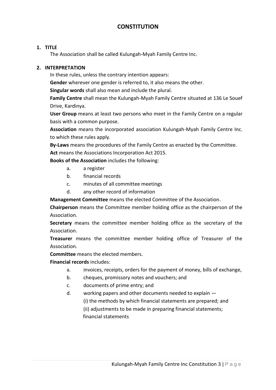# **CONSTITUTION**

#### **1. TITLE**

The Association shall be called Kulungah-Myah Family Centre Inc.

#### **2. INTERPRETATION**

In these rules, unless the contrary intention appears:

**Gender** wherever one gender is referred to, it also means the other.

**Singular words** shall also mean and include the plural.

**Family Centre** shall mean the Kulungah-Myah Family Centre situated at 136 Le Souef Drive, Kardinya.

**User Group** means at least two persons who meet in the Family Centre on a regular basis with a common purpose.

**Association** means the incorporated association Kulungah-Myah Family Centre Inc. to which these rules apply.

**By-Laws** means the procedures of the Family Centre as enacted by the Committee. **Act** means the Associations Incorporation Act 2015.

**Books of the Association** includes the following:

- a. a register
- b. financial records
- c. minutes of all committee meetings
- d. any other record of information

**Management Committee** means the elected Committee of the Association.

**Chairperson** means the Committee member holding office as the chairperson of the Association.

**Secretary** means the committee member holding office as the secretary of the Association.

**Treasurer** means the committee member holding office of Treasurer of the Association.

**Committee** means the elected members.

# **Financial records** includes:

- a. invoices, receipts, orders for the payment of money, bills of exchange,
- b. cheques, promissory notes and vouchers; and
- c. documents of prime entry; and
- d. working papers and other documents needed to explain —

(i) the methods by which financial statements are prepared; and

(ii) adjustments to be made in preparing financial statements;

financial statements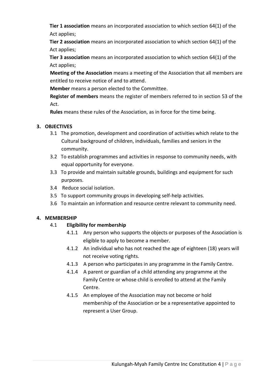**Tier 1 association** means an incorporated association to which section 64(1) of the Act applies;

 **Tier 2 association** means an incorporated association to which section 64(1) of the Act applies;

 **Tier 3 association** means an incorporated association to which section 64(1) of the Act applies;

**Meeting of the Association** means a meeting of the Association that all members are entitled to receive notice of and to attend.

**Member** means a person elected to the Committee.

**Register of members** means the register of members referred to in section 53 of the Act.

**Rules** means these rules of the Association, as in force for the time being.

# **3. OBJECTIVES**

- 3.1 The promotion, development and coordination of activities which relate to the Cultural background of children, individuals, families and seniors in the community.
- 3.2 To establish programmes and activities in response to community needs, with equal opportunity for everyone.
- 3.3 To provide and maintain suitable grounds, buildings and equipment for such purposes.
- 3.4 Reduce social isolation.
- 3.5 To support community groups in developing self-help activities.
- 3.6 To maintain an information and resource centre relevant to community need.

# **4. MEMBERSHIP**

# 4.1 **Eligibility for membership**

- 4.1.1 Any person who supports the objects or purposes of the Association is eligible to apply to become a member.
- 4.1.2 An individual who has not reached the age of eighteen (18) years will not receive voting rights.
- 4.1.3 A person who participates in any programme in the Family Centre.
- 4.1.4 A parent or guardian of a child attending any programme at the Family Centre or whose child is enrolled to attend at the Family Centre.
- 4.1.5 An employee of the Association may not become or hold membership of the Association or be a representative appointed to represent a User Group.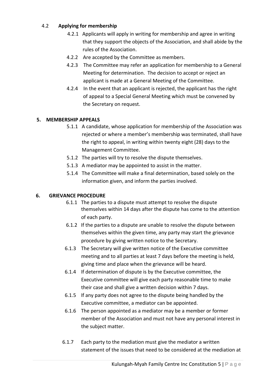# 4.2 **Applying for membership**

- 4.2.1 Applicants will apply in writing for membership and agree in writing that they support the objects of the Association, and shall abide by the rules of the Association.
- 4.2.2 Are accepted by the Committee as members.
- 4.2.3 The Committee may refer an application for membership to a General Meeting for determination. The decision to accept or reject an applicant is made at a General Meeting of the Committee.
- 4.2.4 In the event that an applicant is rejected, the applicant has the right of appeal to a Special General Meeting which must be convened by the Secretary on request.

# **5. MEMBERSHIP APPEALS**

- 5.1.1 A candidate, whose application for membership of the Association was rejected or where a member's membership was terminated, shall have the right to appeal, in writing within twenty eight (28) days to the Management Committee.
- 5.1.2 The parties will try to resolve the dispute themselves.
- 5.1.3 A mediator may be appointed to assist in the matter.
- 5.1.4 The Committee will make a final determination, based solely on the information given, and inform the parties involved.

# **6. GRIEVANCE PROCEDURE**

- 6.1.1 The parties to a dispute must attempt to resolve the dispute themselves within 14 days after the dispute has come to the attention of each party.
- 6.1.2 If the parties to a dispute are unable to resolve the dispute between themselves within the given time, any party may start the grievance procedure by giving written notice to the Secretary.
- 6.1.3 The Secretary will give written notice of the Executive committee meeting and to all parties at least 7 days before the meeting is held, giving time and place when the grievance will be heard.
- 6.1.4 If determination of dispute is by the Executive committee, the Executive committee will give each party reasonable time to make their case and shall give a written decision within 7 days.
- 6.1.5 If any party does not agree to the dispute being handled by the Executive committee, a mediator can be appointed.
- 6.1.6 The person appointed as a mediator may be a member or former member of the Association and must not have any personal interest in the subject matter.
- 6.1.7 Each party to the mediation must give the mediator a written statement of the issues that need to be considered at the mediation at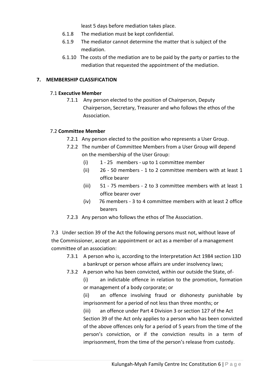least 5 days before mediation takes place.

- 6.1.8 The mediation must be kept confidential.
- 6.1.9 The mediator cannot determine the matter that is subject of the mediation.
- 6.1.10 The costs of the mediation are to be paid by the party or parties to the mediation that requested the appointment of the mediation.

#### **7. MEMBERSHIP CLASSIFICATION**

#### 7.1 **Executive Member**

7.1.1 Any person elected to the position of Chairperson, Deputy Chairperson, Secretary, Treasurer and who follows the ethos of the Association.

#### 7.2 **Committee Member**

- 7.2.1Any person elected to the position who represents a User Group.
- 7.2.2 The number of Committee Members from a User Group will depend on the membership of the User Group:
	- (i) 1 25 members up to 1 committee member
	- (ii) 26 50 members 1 to 2 committee members with at least 1 office bearer
	- (iii) 51 75 members 2 to 3 committee members with at least 1 office bearer over
	- (iv) 76 members 3 to 4 committee members with at least 2 office bearers
- 7.2.3 Any person who follows the ethos of The Association.

7.3Under section 39 of the Act the following persons must not, without leave of the Commissioner, accept an appointment or act as a member of a management committee of an association:

- 7.3.1 A person who is, according to the Interpretation Act 1984 section 13D a bankrupt or person whose affairs are under insolvency laws;
- 7.3.2 A person who has been convicted, within our outside the State, of-

(i) an indictable offence in relation to the promotion, formation or management of a body corporate; or

(ii) an offence involving fraud or dishonesty punishable by imprisonment for a period of not less than three months; or

(iii) an offence under Part 4 Division 3 or section 127 of the Act Section 39 of the Act only applies to a person who has been convicted of the above offences only for a period of 5 years from the time of the person's conviction, or if the conviction results in a term of imprisonment, from the time of the person's release from custody.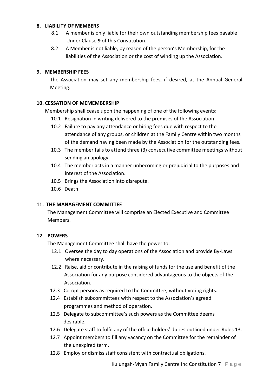#### **8. LIABILITY OF MEMBERS**

- 8.1A member is only liable for their own outstanding membership fees payable Under Clause **9** of this Constitution.
- 8.2 A Member is not liable, by reason of the person's Membership, for the liabilities of the Association or the cost of winding up the Association.

#### **9. MEMBERSHIP FEES**

The Association may set any membership fees, if desired, at the Annual General Meeting.

#### **10. CESSATION OF MEMEMBERSHIP**

Membership shall cease upon the happening of one of the following events:

- 10.1 Resignation in writing delivered to the premises of the Association
- 10.2 Failure to pay any attendance or hiring fees due with respect to the attendance of any groups, or children at the Family Centre within two months of the demand having been made by the Association for the outstanding fees.
- 10.3 The member fails to attend three (3) consecutive committee meetings without sending an apology.
- 10.4 The member acts in a manner unbecoming or prejudicial to the purposes and interest of the Association.
- 10.5 Brings the Association into disrepute.
- 10.6 Death

#### **11. THE MANAGEMENT COMMITTEE**

 The Management Committee will comprise an Elected Executive and Committee Members.

#### **12. POWERS**

The Management Committee shall have the power to:

- 12.1 Oversee the day to day operations of the Association and provide By-Laws where necessary.
- 12.2 Raise, aid or contribute in the raising of funds for the use and benefit of the Association for any purpose considered advantageous to the objects of the Association.
- 12.3 Co-opt persons as required to the Committee, without voting rights.
- 12.4 Establish subcommittees with respect to the Association's agreed programmes and method of operation.
- 12.5 Delegate to subcommittee's such powers as the Committee deems desirable.
- 12.6 Delegate staff to fulfil any of the office holders' duties outlined under Rules 13.
- 12.7 Appoint members to fill any vacancy on the Committee for the remainder of the unexpired term.
- 12.8 Employ or dismiss staff consistent with contractual obligations.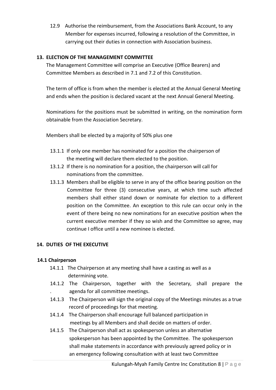12.9 Authorise the reimbursement, from the Associations Bank Account, to any Member for expenses incurred, following a resolution of the Committee, in carrying out their duties in connection with Association business.

# **13. ELECTION OF THE MANAGEMENT COMMITTEE**

The Management Committee will comprise an Executive (Office Bearers) and Committee Members as described in 7.1 and 7.2 of this Constitution.

The term of office is from when the member is elected at the Annual General Meeting and ends when the position is declared vacant at the next Annual General Meeting.

Nominations for the positions must be submitted in writing, on the nomination form obtainable from the Association Secretary.

Members shall be elected by a majority of 50% plus one

- 13.1.1 If only one member has nominated for a position the chairperson of the meeting will declare them elected to the position.
- 13.1.2 If there is no nomination for a position, the chairperson will call for nominations from the committee.
- 13.1.3 Members shall be eligible to serve in any of the office bearing position on the Committee for three (3) consecutive years, at which time such affected members shall either stand down or nominate for election to a different position on the Committee. An exception to this rule can occur only in the event of there being no new nominations for an executive position when the current executive member if they so wish and the Committee so agree, may continue I office until a new nominee is elected.

# **14. DUTIES OF THE EXECUTIVE**

# **14.1 Chairperson**

- 14.1.1 The Chairperson at any meeting shall have a casting as well as a determining vote.
- 14.1.2 The Chairperson, together with the Secretary, shall prepare the . agenda for all committee meetings.
- 14.1.3 The Chairperson will sign the original copy of the Meetings minutes as a true record of proceedings for that meeting.
- 14.1.4 The Chairperson shall encourage full balanced participation in meetings by all Members and shall decide on matters of order.
- 14.1.5 The Chairperson shall act as spokesperson unless an alternative spokesperson has been appointed by the Committee. The spokesperson shall make statements in accordance with previously agreed policy or in an emergency following consultation with at least two Committee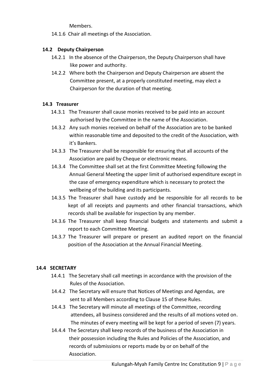Members.

14.1.6 Chair all meetings of the Association.

### **14.2 Deputy Chairperson**

- 14.2.1 In the absence of the Chairperson, the Deputy Chairperson shall have like power and authority.
- 14.2.2 Where both the Chairperson and Deputy Chairperson are absent the Committee present, at a properly constituted meeting, may elect a Chairperson for the duration of that meeting.

#### **14.3 Treasurer**

- 14.3.1 The Treasurer shall cause monies received to be paid into an account authorised by the Committee in the name of the Association.
- 14.3.2 Any such monies received on behalf of the Association are to be banked within reasonable time and deposited to the credit of the Association, with it's Bankers.
- 14.3.3 The Treasurer shall be responsible for ensuring that all accounts of the Association are paid by Cheque or electronic means.
- 14.3.4 The Committee shall set at the first Committee Meeting following the Annual General Meeting the upper limit of authorised expenditure except in the case of emergency expenditure which is necessary to protect the wellbeing of the building and its participants.
- 14.3.5 The Treasurer shall have custody and be responsible for all records to be kept of all receipts and payments and other financial transactions, which records shall be available for inspection by any member.
- 14.3.6 The Treasurer shall keep financial budgets and statements and submit a report to each Committee Meeting.
- 14.3.7 The Treasurer will prepare or present an audited report on the financial position of the Association at the Annual Financial Meeting.

#### **14.4 SECRETARY**

- 14.4.1 The Secretary shall call meetings in accordance with the provision of the Rules of the Association.
- 14.4.2 The Secretary will ensure that Notices of Meetings and Agendas, are sent to all Members according to Clause 15 of these Rules.
- 14.4.3 The Secretary will minute all meetings of the Committee, recording attendees, all business considered and the results of all motions voted on. The minutes of every meeting will be kept for a period of seven (7) years.
- 14.4.4 The Secretary shall keep records of the business of the Association in their possession including the Rules and Policies of the Association, and records of submissions or reports made by or on behalf of the Association.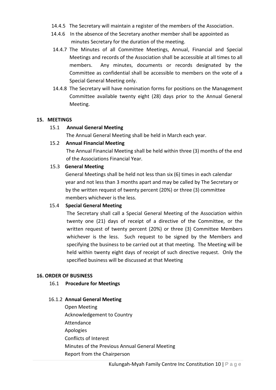- 14.4.5 The Secretary will maintain a register of the members of the Association.
- 14.4.6 In the absence of the Secretary another member shall be appointed as minutes Secretary for the duration of the meeting.
- 14.4.7 The Minutes of all Committee Meetings, Annual, Financial and Special Meetings and records of the Association shall be accessible at all times to all members. Any minutes, documents or records designated by the Committee as confidential shall be accessible to members on the vote of a Special General Meeting only.
- 14.4.8 The Secretary will have nomination forms for positions on the Management Committee available twenty eight (28) days prior to the Annual General Meeting.

#### **15. MEETINGS**

#### 15.1 **Annual General Meeting**

The Annual General Meeting shall be held in March each year.

#### 15.2 **Annual Financial Meeting**

The Annual Financial Meeting shall be held within three (3) months of the end of the Associations Financial Year.

#### 15.3 **General Meeting**

General Meetings shall be held not less than six (6) times in each calendar year and not less than 3 months apart and may be called by The Secretary or by the written request of twenty percent (20%) or three (3) committee members whichever is the less.

#### 15.4 **Special General Meeting**

The Secretary shall call a Special General Meeting of the Association within twenty one (21) days of receipt of a directive of the Committee, or the written request of twenty percent (20%) or three (3) Committee Members whichever is the less. Such request to be signed by the Members and specifying the business to be carried out at that meeting. The Meeting will be held within twenty eight days of receipt of such directive request. Only the specified business will be discussed at that Meeting

#### **16. ORDER OF BUSINESS**

#### 16.1 **Procedure for Meetings**

#### 16.1.2 **Annual General Meeting**

 Open Meeting Acknowledgement to Country Attendance Apologies Conflicts of Interest Minutes of the Previous Annual General Meeting Report from the Chairperson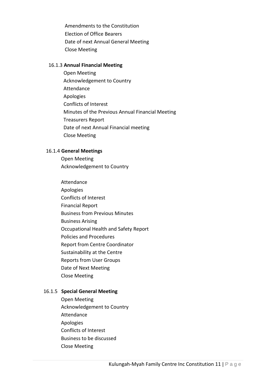Amendments to the Constitution Election of Office Bearers Date of next Annual General Meeting Close Meeting

#### 16.1.3 **Annual Financial Meeting**

 Open Meeting Acknowledgement to Country Attendance Apologies Conflicts of Interest Minutes of the Previous Annual Financial Meeting Treasurers Report Date of next Annual Financial meeting Close Meeting

#### 16.1.4 **General Meetings**

 Open Meeting Acknowledgement to Country

 Attendance Apologies Conflicts of Interest Financial Report Business from Previous Minutes Business Arising Occupational Health and Safety Report Policies and Procedures Report from Centre Coordinator Sustainability at the Centre Reports from User Groups Date of Next Meeting Close Meeting

#### 16.1.5 **Special General Meeting**

 Open Meeting Acknowledgement to Country Attendance Apologies Conflicts of Interest Business to be discussed Close Meeting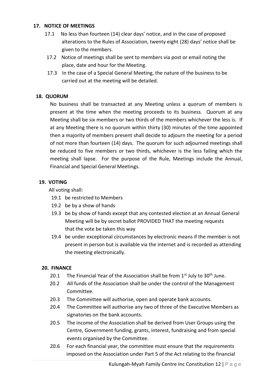#### **17. NOTICE OF MEETINGS**

- 17.1 No less than fourteen (14) clear days' notice, and in the case of proposed alterations to the Rules of Association, twenty eight (28) days' notice shall be given to the members.
- 17.2 Notice of meetings shall be sent to members via post or email noting the place, date and hour for the Meeting.
- 17.3 In the case of a Special General Meeting, the nature of the business to be carried out at the meeting will be detailed.

### **18. QUORUM**

No business shall be transacted at any Meeting unless a quorum of members is present at the time when the meeting proceeds to its business. Quorum at any Meeting shall be six members or two thirds of the members whichever the less is. If at any Meeting there is no quorum within thirty (30) minutes of the time appointed then a majority of members present shall decide to adjourn the meeting for a period of not more than fourteen (14) days. The quorum for such adjourned meetings shall be reduced to five members or two thirds, whichever is the less failing which the meeting shall lapse. For the purpose of the Rule, Meetings include the Annual, Financial and Special General Meetings.

#### **19. VOTING**

All voting shall:

- 19.1 be restricted to Members
- 19.2 be by a show of hands
- 19.3 be by show of hands except that any contested election at an Annual General Meeting will be by secret ballot PROVIDED THAT the meeting requests that the vote be taken this way
- 19.4 be under exceptional circumstances by electronic means if the member is not present in person but is available via the internet and is recorded as attending the meeting electronically.

#### **20. FINANCE**

- 20.1 The Financial Year of the Association shall be from  $1<sup>st</sup>$  July to  $30<sup>th</sup>$  June.
- 20.2 All funds of the Association shall be under the control of the Management Committee.
- 20.3 The Committee will authorise, open and operate bank accounts.
- 20.4 The Committee will authorise any two of three of the Executive Members as signatories on the bank accounts.
- 20.5 The income of the Association shall be derived from User Groups using the Centre, Government funding, grants, interest, fundraising and from special events organised by the Committee.
- 20.6 For each financial year, the committee must ensure that the requirements imposed on the Association under Part 5 of the Act relating to the financial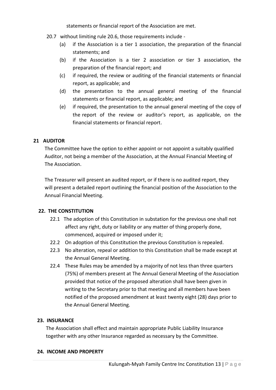statements or financial report of the Association are met.

- 20.7 without limiting rule 20.6, those requirements include
	- (a) if the Association is a tier 1 association, the preparation of the financial statements; and
	- (b) if the Association is a tier 2 association or tier 3 association, the preparation of the financial report; and
	- (c) if required, the review or auditing of the financial statements or financial report, as applicable; and
	- (d) the presentation to the annual general meeting of the financial statements or financial report, as applicable; and
	- (e) if required, the presentation to the annual general meeting of the copy of the report of the review or auditor's report, as applicable, on the financial statements or financial report.

#### **21 AUDITOR**

The Committee have the option to either appoint or not appoint a suitably qualified Auditor, not being a member of the Association, at the Annual Financial Meeting of The Association.

 The Treasurer will present an audited report, or if there is no audited report, they will present a detailed report outlining the financial position of the Association to the Annual Financial Meeting.

#### **22. THE CONSTITUTION**

- 22.1 The adoption of this Constitution in substation for the previous one shall not affect any right, duty or liability or any matter of thing properly done, commenced, acquired or imposed under it;
- 22.2 On adoption of this Constitution the previous Constitution is repealed.
- 22.3 No alteration, repeal or addition to this Constitution shall be made except at the Annual General Meeting.
- 22.4 These Rules may be amended by a majority of not less than three quarters (75%) of members present at The Annual General Meeting of the Association provided that notice of the proposed alteration shall have been given in writing to the Secretary prior to that meeting and all members have been notified of the proposed amendment at least twenty eight (28) days prior to the Annual General Meeting.

#### **23. INSURANCE**

The Association shall effect and maintain appropriate Public Liability Insurance together with any other Insurance regarded as necessary by the Committee.

#### **24. INCOME AND PROPERTY**